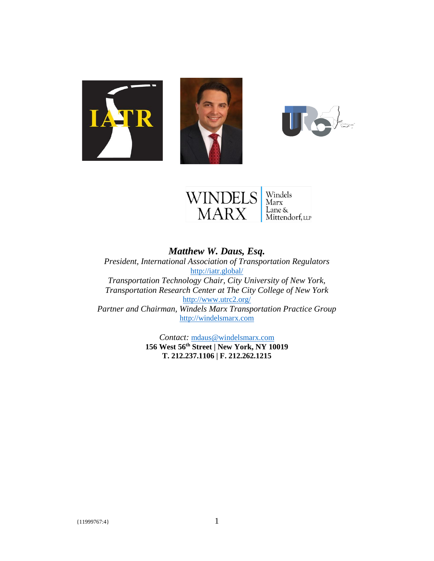





### *Matthew W. Daus, Esq. President, International Association of Transportation Regulators* <http://iatr.global/> *Transportation Technology Chair, City University of New York, Transportation Research Center at The City College of New York* <http://www.utrc2.org/> *Partner and Chairman, Windels Marx Transportation Practice Group* [http://windelsmarx.com](http://windelsmarx.com/)

*Contact:* [mdaus@windelsmarx.com](mailto:mdaus@windelsmarx.com) **156 West 56th Street | New York, NY 10019 T. 212.237.1106 | F. 212.262.1215**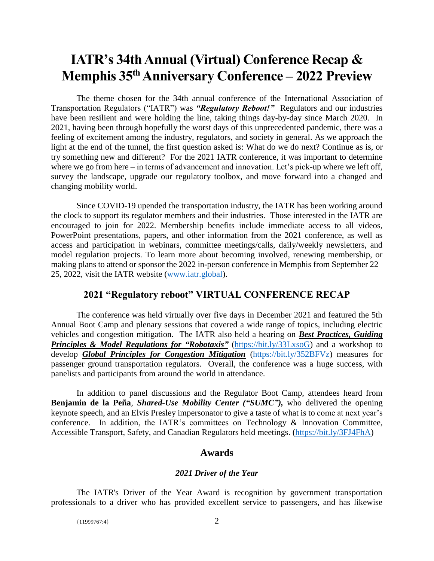# **IATR's 34th Annual (Virtual) Conference Recap & Memphis 35th Anniversary Conference – 2022 Preview**

The theme chosen for the 34th annual conference of the International Association of Transportation Regulators ("IATR") was *"Regulatory Reboot!"* Regulators and our industries have been resilient and were holding the line, taking things day-by-day since March 2020. In 2021, having been through hopefully the worst days of this unprecedented pandemic, there was a feeling of excitement among the industry, regulators, and society in general. As we approach the light at the end of the tunnel, the first question asked is: What do we do next? Continue as is, or try something new and different? For the 2021 IATR conference, it was important to determine where we go from here – in terms of advancement and innovation. Let's pick-up where we left off, survey the landscape, upgrade our regulatory toolbox, and move forward into a changed and changing mobility world.

Since COVID-19 upended the transportation industry, the IATR has been working around the clock to support its regulator members and their industries. Those interested in the IATR are encouraged to join for 2022. Membership benefits include immediate access to all videos, PowerPoint presentations, papers, and other information from the 2021 conference, as well as access and participation in webinars, committee meetings/calls, daily/weekly newsletters, and model regulation projects. To learn more about becoming involved, renewing membership, or making plans to attend or sponsor the 2022 in-person conference in Memphis from September 22– 25, 2022, visit the IATR website [\(www.iatr.global\)](http://www.iatr.global/).

### **2021 "Regulatory reboot" VIRTUAL CONFERENCE RECAP**

The conference was held virtually over five days in December 2021 and featured the 5th Annual Boot Camp and plenary sessions that covered a wide range of topics, including electric vehicles and congestion mitigation. The IATR also held a hearing on *Best Practices, Guiding*  **Principles & Model Regulations for "Robotaxis"** [\(https://bit.ly/33LxsoG\)](https://bit.ly/33LxsoG) and a workshop to develop *Global Principles for Congestion Mitigation* [\(https://bit.ly/352BFVz\)](https://bit.ly/352BFVz) measures for passenger ground transportation regulators. Overall, the conference was a huge success, with panelists and participants from around the world in attendance.

In addition to panel discussions and the Regulator Boot Camp, attendees heard from **Benjamin de la Peña**, *Shared-Use Mobility Center ("SUMC"),* who delivered the opening keynote speech, and an Elvis Presley impersonator to give a taste of what is to come at next year's conference. In addition, the IATR's committees on Technology & Innovation Committee, Accessible Transport, Safety, and Canadian Regulators held meetings. [\(https://bit.ly/3FJ4FhA\)](https://bit.ly/3FJ4FhA)

#### **Awards**

#### *2021 Driver of the Year*

The IATR's Driver of the Year Award is recognition by government transportation professionals to a driver who has provided excellent service to passengers, and has likewise

{11999767:4} 2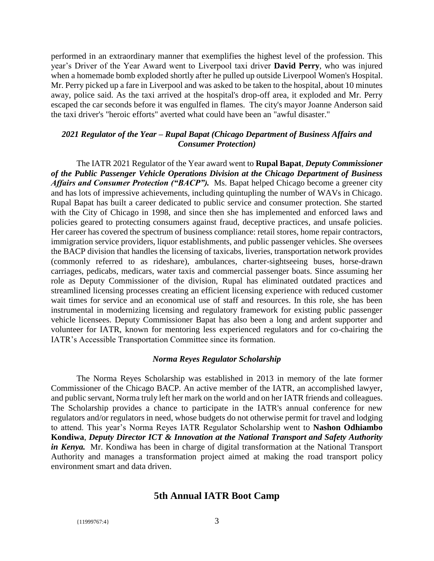performed in an extraordinary manner that exemplifies the highest level of the profession. This year's Driver of the Year Award went to Liverpool taxi driver **David Perry**, who was injured when a homemade bomb exploded shortly after he pulled up outside Liverpool Women's Hospital. Mr. Perry picked up a fare in Liverpool and was asked to be taken to the hospital, about 10 minutes away, police said. As the taxi arrived at the hospital's drop-off area, it exploded and Mr. Perry escaped the car seconds before it was engulfed in flames. The city's mayor Joanne Anderson said the taxi driver's "heroic efforts" averted what could have been an "awful disaster."

#### *2021 Regulator of the Year – Rupal Bapat (Chicago Department of Business Affairs and Consumer Protection)*

The IATR 2021 Regulator of the Year award went to **Rupal Bapat**, *Deputy Commissioner of the Public Passenger Vehicle Operations Division at the Chicago Department of Business Affairs and Consumer Protection ("BACP").* Ms. Bapat helped Chicago become a greener city and has lots of impressive achievements, including quintupling the number of WAVs in Chicago. Rupal Bapat has built a career dedicated to public service and consumer protection. She started with the City of Chicago in 1998, and since then she has implemented and enforced laws and policies geared to protecting consumers against fraud, deceptive practices, and unsafe policies. Her career has covered the spectrum of business compliance: retail stores, home repair contractors, immigration service providers, liquor establishments, and public passenger vehicles. She oversees the BACP division that handles the licensing of taxicabs, liveries, transportation network provides (commonly referred to as rideshare), ambulances, charter-sightseeing buses, horse-drawn carriages, pedicabs, medicars, water taxis and commercial passenger boats. Since assuming her role as Deputy Commissioner of the division, Rupal has eliminated outdated practices and streamlined licensing processes creating an efficient licensing experience with reduced customer wait times for service and an economical use of staff and resources. In this role, she has been instrumental in modernizing licensing and regulatory framework for existing public passenger vehicle licensees. Deputy Commissioner Bapat has also been a long and ardent supporter and volunteer for IATR, known for mentoring less experienced regulators and for co-chairing the IATR's Accessible Transportation Committee since its formation.

#### *Norma Reyes Regulator Scholarship*

The Norma Reyes Scholarship was established in 2013 in memory of the late former Commissioner of the Chicago BACP. An active member of the IATR, an accomplished lawyer, and public servant, Norma truly left her mark on the world and on her IATR friends and colleagues. The Scholarship provides a chance to participate in the IATR's annual conference for new regulators and/or regulators in need, whose budgets do not otherwise permit for travel and lodging to attend. This year's Norma Reyes IATR Regulator Scholarship went to **Nashon Odhiambo Kondiwa**, *Deputy Director ICT & Innovation at the National Transport and Safety Authority in Kenya.* Mr. Kondiwa has been in charge of digital transformation at the National Transport Authority and manages a transformation project aimed at making the road transport policy environment smart and data driven.

### **5th Annual IATR Boot Camp**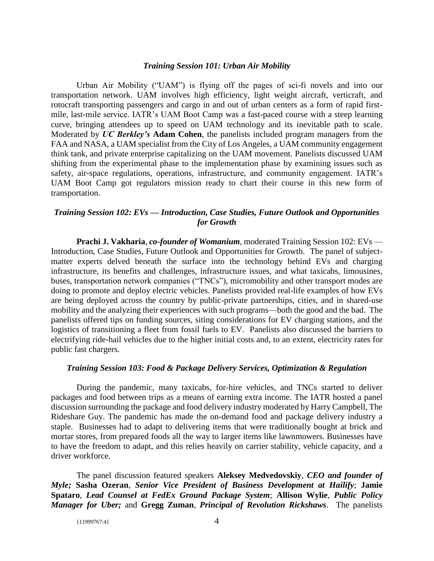#### *Training Session 101: Urban Air Mobility*

Urban Air Mobility ("UAM") is flying off the pages of sci-fi novels and into our transportation network. UAM involves high efficiency, light weight aircraft, verticraft, and rotocraft transporting passengers and cargo in and out of urban centers as a form of rapid firstmile, last-mile service. IATR's UAM Boot Camp was a fast-paced course with a steep learning curve, bringing attendees up to speed on UAM technology and its inevitable path to scale. Moderated by *UC Berkley's* **Adam Cohen**, the panelists included program managers from the FAA and NASA, a UAM specialist from the City of Los Angeles, a UAM community engagement think tank, and private enterprise capitalizing on the UAM movement. Panelists discussed UAM shifting from the experimental phase to the implementation phase by examining issues such as safety, air-space regulations, operations, infrastructure, and community engagement. IATR's UAM Boot Camp got regulators mission ready to chart their course in this new form of transportation.

#### *Training Session 102: EVs — Introduction, Case Studies, Future Outlook and Opportunities for Growth*

**Prachi J. Vakharia**, *co-founder of Womanium*, moderated Training Session 102: EVs — Introduction, Case Studies, Future Outlook and Opportunities for Growth.The panel of subjectmatter experts delved beneath the surface into the technology behind EVs and charging infrastructure, its benefits and challenges, infrastructure issues, and what taxicabs, limousines, buses, transportation network companies ("TNCs"), micromobility and other transport modes are doing to promote and deploy electric vehicles. Panelists provided real-life examples of how EVs are being deployed across the country by public-private partnerships, cities, and in shared-use mobility and the analyzing their experiences with such programs—both the good and the bad. The panelists offered tips on funding sources, siting considerations for EV charging stations, and the logistics of transitioning a fleet from fossil fuels to EV. Panelists also discussed the barriers to electrifying ride-hail vehicles due to the higher initial costs and, to an extent, electricity rates for public fast chargers.

#### *Training Session 103: Food & Package Delivery Services, Optimization & Regulation*

During the pandemic, many taxicabs, for-hire vehicles, and TNCs started to deliver packages and food between trips as a means of earning extra income. The IATR hosted a panel discussion surrounding the package and food delivery industry moderated by Harry Campbell, The Rideshare Guy. The pandemic has made the on-demand food and package delivery industry a staple. Businesses had to adapt to delivering items that were traditionally bought at brick and mortar stores, from prepared foods all the way to larger items like lawnmowers. Businesses have to have the freedom to adapt, and this relies heavily on carrier stability, vehicle capacity, and a driver workforce.

The panel discussion featured speakers **Aleksey Medvedovskiy**, *CEO and founder of Myle;* **Sasha Ozeran**, *Senior Vice President of Business Development at Hailify*; **Jamie Spataro**, *Lead Counsel at FedEx Ground Package System*; **Allison Wylie**, *Public Policy Manager for Uber;* and **Gregg Zuman**, *Principal of Revolution Rickshaws*. The panelists

{11999767:4} 4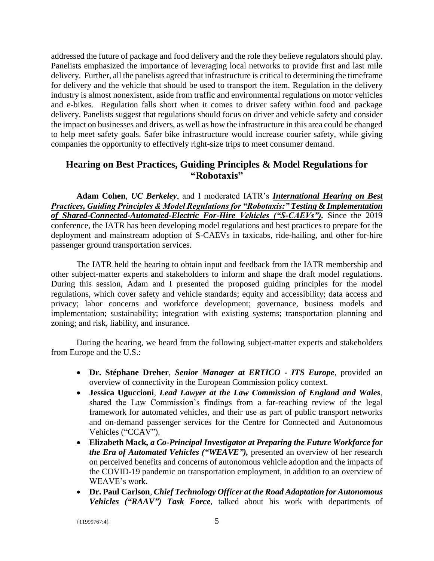addressed the future of package and food delivery and the role they believe regulators should play. Panelists emphasized the importance of leveraging local networks to provide first and last mile delivery. Further, all the panelists agreed that infrastructure is critical to determining the timeframe for delivery and the vehicle that should be used to transport the item. Regulation in the delivery industry is almost nonexistent, aside from traffic and environmental regulations on motor vehicles and e-bikes. Regulation falls short when it comes to driver safety within food and package delivery. Panelists suggest that regulations should focus on driver and vehicle safety and consider the impact on businesses and drivers, as well as how the infrastructure in this area could be changed to help meet safety goals. Safer bike infrastructure would increase courier safety, while giving companies the opportunity to effectively right-size trips to meet consumer demand.

# **Hearing on Best Practices, Guiding Principles & Model Regulations for "Robotaxis"**

**Adam Cohen**, *UC Berkeley*, and I moderated IATR's *International Hearing on Best Practices, Guiding Principles & Model Regulations for "Robotaxis:" Testing & Implementation of Shared-Connected-Automated-Electric For-Hire Vehicles ("S-CAEVs").* Since the 2019 conference, the IATR has been developing model regulations and best practices to prepare for the deployment and mainstream adoption of S-CAEVs in taxicabs, ride-hailing, and other for-hire passenger ground transportation services.

The IATR held the hearing to obtain input and feedback from the IATR membership and other subject-matter experts and stakeholders to inform and shape the draft model regulations. During this session, Adam and I presented the proposed guiding principles for the model regulations, which cover safety and vehicle standards; equity and accessibility; data access and privacy; labor concerns and workforce development; governance, business models and implementation; sustainability; integration with existing systems; transportation planning and zoning; and risk, liability, and insurance.

During the hearing, we heard from the following subject-matter experts and stakeholders from Europe and the U.S.:

- **Dr. Stéphane Dreher**, *Senior Manager at ERTICO - ITS Europe*, provided an overview of connectivity in the European Commission policy context.
- **Jessica Uguccioni**, *Lead Lawyer at the Law Commission of England and Wales*, shared the Law Commission's findings from a far-reaching review of the legal framework for automated vehicles, and their use as part of public transport networks and on-demand passenger services for the Centre for Connected and Autonomous Vehicles ("CCAV").
- **Elizabeth Mack***, a Co-Principal Investigator at Preparing the Future Workforce for the Era of Automated Vehicles ("WEAVE"),* presented an overview of her research on perceived benefits and concerns of autonomous vehicle adoption and the impacts of the COVID-19 pandemic on transportation employment, in addition to an overview of WEAVE's work.
- **Dr. Paul Carlson**, *Chief Technology Officer at the Road Adaptation for Autonomous Vehicles ("RAAV") Task Force*, talked about his work with departments of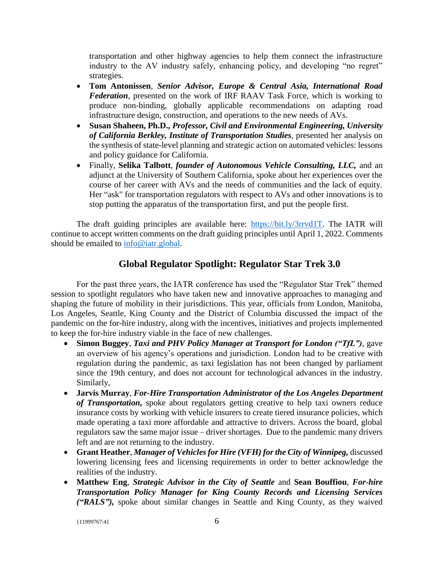transportation and other highway agencies to help them connect the infrastructure industry to the AV industry safely, enhancing policy, and developing "no regret" strategies.

- **Tom Antonissen**, *Senior Advisor, Europe & Central Asia, International Road Federation*, presented on the work of IRF RAAV Task Force, which is working to produce non-binding, globally applicable recommendations on adapting road infrastructure design, construction, and operations to the new needs of AVs.
- **Susan Shaheen, Ph.D.,** *Professor, Civil and Environmental Engineering, University of California Berkley, Institute of Transportation Studies*, presented her analysis on the synthesis of state-level planning and strategic action on automated vehicles: lessons and policy guidance for California.
- Finally, **Selika Talbott**, *founder of Autonomous Vehicle Consulting, LLC,* and an adjunct at the University of Southern California, spoke about her experiences over the course of her career with AVs and the needs of communities and the lack of equity. Her "ask" for transportation regulators with respect to AVs and other innovations is to stop putting the apparatus of the transportation first, and put the people first.

The draft guiding principles are available here: [https://bit.ly/3rrvd1T.](https://bit.ly/3rrvd1T) The IATR will continue to accept written comments on the draft guiding principles until April 1, 2022. Comments should be emailed to [info@iatr.global.](mailto:info@iatr.global)

# **Global Regulator Spotlight: Regulator Star Trek 3.0**

For the past three years, the IATR conference has used the "Regulator Star Trek" themed session to spotlight regulators who have taken new and innovative approaches to managing and shaping the future of mobility in their jurisdictions. This year, officials from London, Manitoba, Los Angeles, Seattle, King County and the District of Columbia discussed the impact of the pandemic on the for-hire industry, along with the incentives, initiatives and projects implemented to keep the for-hire industry viable in the face of new challenges.

- **Simon Buggey**, *Taxi and PHV Policy Manager at Transport for London ("TfL")*, gave an overview of his agency's operations and jurisdiction. London had to be creative with regulation during the pandemic, as taxi legislation has not been changed by parliament since the 19th century, and does not account for technological advances in the industry. Similarly,
- **Jarvis Murray**, *For-Hire Transportation Administrator of the Los Angeles Department of Transportation,* spoke about regulators getting creative to help taxi owners reduce insurance costs by working with vehicle insurers to create tiered insurance policies, which made operating a taxi more affordable and attractive to drivers. Across the board, global regulators saw the same major issue – driver shortages. Due to the pandemic many drivers left and are not returning to the industry.
- **Grant Heather**, *Manager of Vehicles for Hire (VFH) for the City of Winnipeg,* discussed lowering licensing fees and licensing requirements in order to better acknowledge the realities of the industry.
- **Matthew Eng**, *Strategic Advisor in the City of Seattle* and **Sean Bouffiou**, *For-hire Transportation Policy Manager for King County Records and Licensing Services ("RALS"),* spoke about similar changes in Seattle and King County, as they waived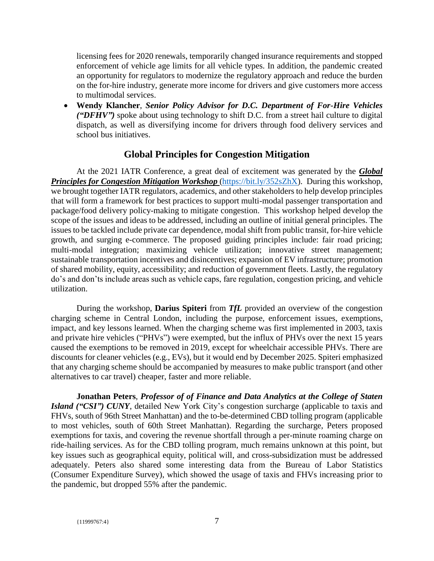licensing fees for 2020 renewals, temporarily changed insurance requirements and stopped enforcement of vehicle age limits for all vehicle types. In addition, the pandemic created an opportunity for regulators to modernize the regulatory approach and reduce the burden on the for-hire industry, generate more income for drivers and give customers more access to multimodal services.

 **Wendy Klancher**, *Senior Policy Advisor for D.C. Department of For-Hire Vehicles ("DFHV")* spoke about using technology to shift D.C. from a street hail culture to digital dispatch, as well as diversifying income for drivers through food delivery services and school bus initiatives.

## **Global Principles for Congestion Mitigation**

At the 2021 IATR Conference, a great deal of excitement was generated by the *Global Principles for Congestion Mitigation Workshop* [\(https://bit.ly/352sZhX\)](https://bit.ly/352sZhX). During this workshop, we brought together IATR regulators, academics, and other stakeholders to help develop principles that will form a framework for best practices to support multi-modal passenger transportation and package/food delivery policy-making to mitigate congestion. This workshop helped develop the scope of the issues and ideas to be addressed, including an outline of initial general principles. The issues to be tackled include private car dependence, modal shift from public transit, for-hire vehicle growth, and surging e-commerce. The proposed guiding principles include: fair road pricing; multi-modal integration; maximizing vehicle utilization; innovative street management; sustainable transportation incentives and disincentives; expansion of EV infrastructure; promotion of shared mobility, equity, accessibility; and reduction of government fleets. Lastly, the regulatory do's and don'ts include areas such as vehicle caps, fare regulation, congestion pricing, and vehicle utilization.

During the workshop, **Darius Spiteri** from *TfL* provided an overview of the congestion charging scheme in Central London, including the purpose, enforcement issues, exemptions, impact, and key lessons learned. When the charging scheme was first implemented in 2003, taxis and private hire vehicles ("PHVs") were exempted, but the influx of PHVs over the next 15 years caused the exemptions to be removed in 2019, except for wheelchair accessible PHVs. There are discounts for cleaner vehicles (e.g., EVs), but it would end by December 2025. Spiteri emphasized that any charging scheme should be accompanied by measures to make public transport (and other alternatives to car travel) cheaper, faster and more reliable.

**Jonathan Peters**, *Professor of of Finance and Data Analytics at the College of Staten Island ("CSI") CUNY*, detailed New York City's congestion surcharge (applicable to taxis and FHVs, south of 96th Street Manhattan) and the to-be-determined CBD tolling program (applicable to most vehicles, south of 60th Street Manhattan). Regarding the surcharge, Peters proposed exemptions for taxis, and covering the revenue shortfall through a per-minute roaming charge on ride-hailing services. As for the CBD tolling program, much remains unknown at this point, but key issues such as geographical equity, political will, and cross-subsidization must be addressed adequately. Peters also shared some interesting data from the Bureau of Labor Statistics (Consumer Expenditure Survey), which showed the usage of taxis and FHVs increasing prior to the pandemic, but dropped 55% after the pandemic.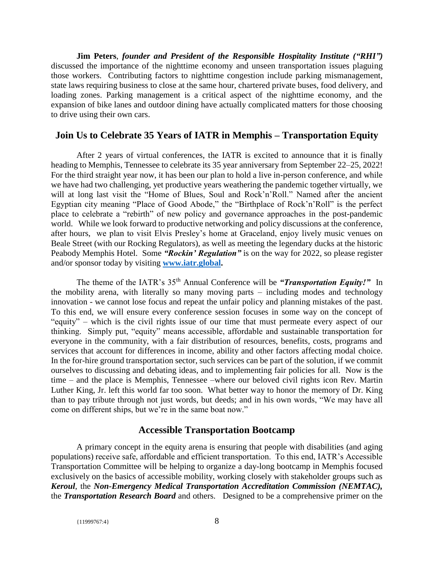**Jim Peters**, *founder and President of the Responsible Hospitality Institute ("RHI")* discussed the importance of the nighttime economy and unseen transportation issues plaguing those workers. Contributing factors to nighttime congestion include parking mismanagement, state laws requiring business to close at the same hour, chartered private buses, food delivery, and loading zones. Parking management is a critical aspect of the nighttime economy, and the expansion of bike lanes and outdoor dining have actually complicated matters for those choosing to drive using their own cars.

### **Join Us to Celebrate 35 Years of IATR in Memphis – Transportation Equity**

After 2 years of virtual conferences, the IATR is excited to announce that it is finally heading to Memphis, Tennessee to celebrate its 35 year anniversary from September 22–25, 2022! For the third straight year now, it has been our plan to hold a live in-person conference, and while we have had two challenging, yet productive years weathering the pandemic together virtually, we will at long last visit the "Home of Blues, Soul and Rock'n'Roll." Named after the ancient Egyptian city meaning "Place of Good Abode," the "Birthplace of Rock'n'Roll" is the perfect place to celebrate a "rebirth" of new policy and governance approaches in the post-pandemic world. While we look forward to productive networking and policy discussions at the conference, after hours, we plan to visit Elvis Presley's home at Graceland, enjoy lively music venues on Beale Street (with our Rocking Regulators), as well as meeting the legendary ducks at the historic Peabody Memphis Hotel. Some *"Rockin' Regulation"* is on the way for 2022, so please register and/or sponsor today by visiting **[www.iatr.global.](http://www.iatr.global/)**

The theme of the IATR's 35th Annual Conference will be *"Transportation Equity!"*In the mobility arena, with literally so many moving parts – including modes and technology innovation - we cannot lose focus and repeat the unfair policy and planning mistakes of the past. To this end, we will ensure every conference session focuses in some way on the concept of "equity" – which is the civil rights issue of our time that must permeate every aspect of our thinking. Simply put, "equity" means accessible, affordable and sustainable transportation for everyone in the community, with a fair distribution of resources, benefits, costs, programs and services that account for differences in income, ability and other factors affecting modal choice. In the for-hire ground transportation sector, such services can be part of the solution, if we commit ourselves to discussing and debating ideas, and to implementing fair policies for all. Now is the time – and the place is Memphis, Tennessee –where our beloved civil rights icon Rev. Martin Luther King, Jr. left this world far too soon. What better way to honor the memory of Dr. King than to pay tribute through not just words, but deeds; and in his own words, "We may have all come on different ships, but we're in the same boat now."

### **Accessible Transportation Bootcamp**

A primary concept in the equity arena is ensuring that people with disabilities (and aging populations) receive safe, affordable and efficient transportation. To this end, IATR's Accessible Transportation Committee will be helping to organize a day-long bootcamp in Memphis focused exclusively on the basics of accessible mobility, working closely with stakeholder groups such as *Keroul*, the *Non-Emergency Medical Transportation Accreditation Commission (NEMTAC),*  the *Transportation Research Board* and others. Designed to be a comprehensive primer on the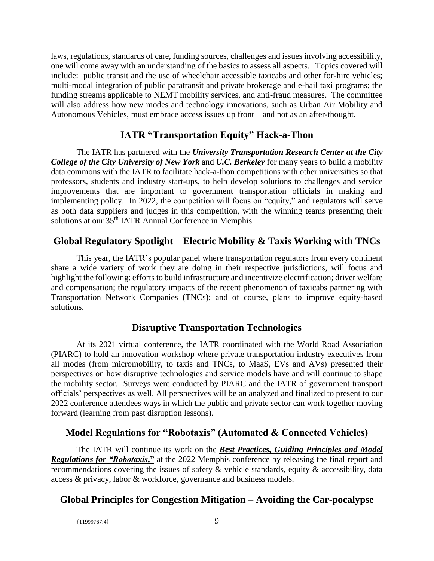laws, regulations, standards of care, funding sources, challenges and issues involving accessibility, one will come away with an understanding of the basics to assess all aspects. Topics covered will include: public transit and the use of wheelchair accessible taxicabs and other for-hire vehicles; multi-modal integration of public paratransit and private brokerage and e-hail taxi programs; the funding streams applicable to NEMT mobility services, and anti-fraud measures. The committee will also address how new modes and technology innovations, such as Urban Air Mobility and Autonomous Vehicles, must embrace access issues up front – and not as an after-thought.

# **IATR "Transportation Equity" Hack-a-Thon**

The IATR has partnered with the *University Transportation Research Center at the City College of the City University of New York* and *U.C. Berkeley* for many years to build a mobility data commons with the IATR to facilitate hack-a-thon competitions with other universities so that professors, students and industry start-ups, to help develop solutions to challenges and service improvements that are important to government transportation officials in making and implementing policy. In 2022, the competition will focus on "equity," and regulators will serve as both data suppliers and judges in this competition, with the winning teams presenting their solutions at our  $35<sup>th</sup> IATR$  Annual Conference in Memphis.

# **Global Regulatory Spotlight – Electric Mobility & Taxis Working with TNCs**

This year, the IATR's popular panel where transportation regulators from every continent share a wide variety of work they are doing in their respective jurisdictions, will focus and highlight the following: efforts to build infrastructure and incentivize electrification; driver welfare and compensation; the regulatory impacts of the recent phenomenon of taxicabs partnering with Transportation Network Companies (TNCs); and of course, plans to improve equity-based solutions.

## **Disruptive Transportation Technologies**

At its 2021 virtual conference, the IATR coordinated with the World Road Association (PIARC) to hold an innovation workshop where private transportation industry executives from all modes (from micromobility, to taxis and TNCs, to MaaS, EVs and AVs) presented their perspectives on how disruptive technologies and service models have and will continue to shape the mobility sector. Surveys were conducted by PIARC and the IATR of government transport officials' perspectives as well. All perspectives will be an analyzed and finalized to present to our 2022 conference attendees ways in which the public and private sector can work together moving forward (learning from past disruption lessons).

# **Model Regulations for "Robotaxis" (Automated & Connected Vehicles)**

The IATR will continue its work on the *Best Practices, Guiding Principles and Model Regulations for "Robotaxis***,"** at the 2022 Memphis conference by releasing the final report and recommendations covering the issues of safety & vehicle standards, equity & accessibility, data access & privacy, labor & workforce, governance and business models.

# **Global Principles for Congestion Mitigation – Avoiding the Car-pocalypse**

{11999767:4} 9